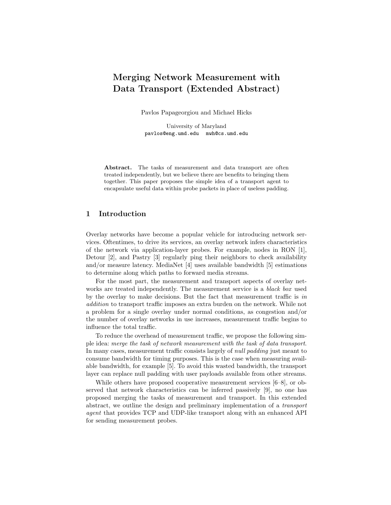## Merging Network Measurement with Data Transport (Extended Abstract)

Pavlos Papageorgiou and Michael Hicks

University of Maryland pavlos@eng.umd.edu mwh@cs.umd.edu

Abstract. The tasks of measurement and data transport are often treated independently, but we believe there are benefits to bringing them together. This paper proposes the simple idea of a transport agent to encapsulate useful data within probe packets in place of useless padding.

## 1 Introduction

Overlay networks have become a popular vehicle for introducing network services. Oftentimes, to drive its services, an overlay network infers characteristics of the network via application-layer probes. For example, nodes in RON [1], Detour [2], and Pastry [3] regularly ping their neighbors to check availability and/or measure latency. MediaNet [4] uses available bandwidth [5] estimations to determine along which paths to forward media streams.

For the most part, the measurement and transport aspects of overlay networks are treated independently. The measurement service is a *black box* used by the overlay to make decisions. But the fact that measurement traffic is in addition to transport traffic imposes an extra burden on the network. While not a problem for a single overlay under normal conditions, as congestion and/or the number of overlay networks in use increases, measurement traffic begins to influence the total traffic.

To reduce the overhead of measurement traffic, we propose the following simple idea: merge the task of network measurement with the task of data transport. In many cases, measurement traffic consists largely of null padding just meant to consume bandwidth for timing purposes. This is the case when measuring available bandwidth, for example [5]. To avoid this wasted bandwidth, the transport layer can replace null padding with user payloads available from other streams.

While others have proposed cooperative measurement services  $[6-8]$ , or observed that network characteristics can be inferred passively [9], no one has proposed merging the tasks of measurement and transport. In this extended abstract, we outline the design and preliminary implementation of a transport agent that provides TCP and UDP-like transport along with an enhanced API for sending measurement probes.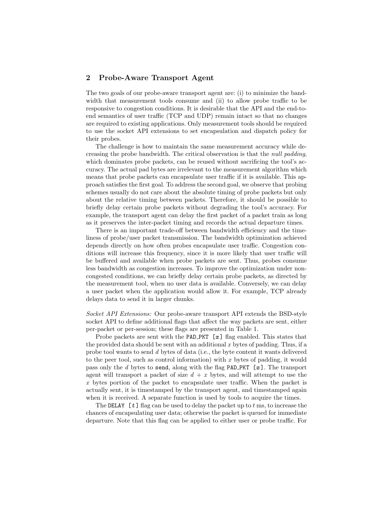## 2 Probe-Aware Transport Agent

The two goals of our probe-aware transport agent are: (i) to minimize the bandwidth that measurement tools consume and (ii) to allow probe traffic to be responsive to congestion conditions. It is desirable that the API and the end-toend semantics of user traffic (TCP and UDP) remain intact so that no changes are required to existing applications. Only measurement tools should be required to use the socket API extensions to set encapsulation and dispatch policy for their probes.

The challenge is how to maintain the same measurement accuracy while decreasing the probe bandwidth. The critical observation is that the null padding, which dominates probe packets, can be reused without sacrificing the tool's accuracy. The actual pad bytes are irrelevant to the measurement algorithm which means that probe packets can encapsulate user traffic if it is available. This approach satisfies the first goal. To address the second goal, we observe that probing schemes usually do not care about the absolute timing of probe packets but only about the relative timing between packets. Therefore, it should be possible to briefly delay certain probe packets without degrading the tool's accuracy. For example, the transport agent can delay the first packet of a packet train as long as it preserves the inter-packet timing and records the actual departure times.

There is an important trade-off between bandwidth efficiency and the timeliness of probe/user packet transmission. The bandwidth optimization achieved depends directly on how often probes encapsulate user traffic. Congestion conditions will increase this frequency, since it is more likely that user traffic will be buffered and available when probe packets are sent. Thus, probes consume less bandwidth as congestion increases. To improve the optimization under noncongested conditions, we can briefly delay certain probe packets, as directed by the measurement tool, when no user data is available. Conversely, we can delay a user packet when the application would allow it. For example, TCP already delays data to send it in larger chunks.

Socket API Extensions: Our probe-aware transport API extends the BSD-style socket API to define additional flags that affect the way packets are sent, either per-packet or per-session; these flags are presented in Table 1.

Probe packets are sent with the PAD PKT  $[x]$  flag enabled. This states that the provided data should be sent with an additional  $x$  bytes of padding. Thus, if a probe tool wants to send d bytes of data (i.e., the byte content it wants delivered to the peer tool, such as control information) with  $x$  bytes of padding, it would pass only the d bytes to send, along with the flag PAD PKT  $[x]$ . The transport agent will transport a packet of size  $d + x$  bytes, and will attempt to use the x bytes portion of the packet to encapsulate user traffic. When the packet is actually sent, it is timestamped by the transport agent, and timestamped again when it is received. A separate function is used by tools to acquire the times.

The DELAY  $[t]$  flag can be used to delay the packet up to t ms, to increase the chances of encapsulating user data; otherwise the packet is queued for immediate departure. Note that this flag can be applied to either user or probe traffic. For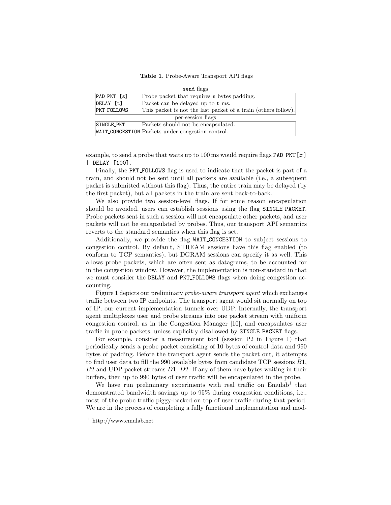Table 1. Probe-Aware Transport API flags

| send flags        |                                                                |
|-------------------|----------------------------------------------------------------|
| $PAD_PKT$ $[s]$   | Probe packet that requires <b>s</b> bytes padding.             |
| DELAY [t]         | Packet can be delayed up to t ms.                              |
| PKT_FOLLOWS       | This packet is not the last packet of a train (others follow). |
| per-session flags |                                                                |
| SINGLE_PKT        | Packets should not be encapsulated.                            |
|                   | WAIT_CONGESTION Packets under congestion control.              |

example, to send a probe that waits up to 100 ms would require flags PAD PKT[ $x$ ] | DELAY [100].

Finally, the PKT FOLLOWS flag is used to indicate that the packet is part of a train, and should not be sent until all packets are available (i.e., a subsequent packet is submitted without this flag). Thus, the entire train may be delayed (by the first packet), but all packets in the train are sent back-to-back.

We also provide two session-level flags. If for some reason encapsulation should be avoided, users can establish sessions using the flag SINGLE PACKET. Probe packets sent in such a session will not encapsulate other packets, and user packets will not be encapsulated by probes. Thus, our transport API semantics reverts to the standard semantics when this flag is set.

Additionally, we provide the flag WAIT CONGESTION to subject sessions to congestion control. By default, STREAM sessions have this flag enabled (to conform to TCP semantics), but DGRAM sessions can specify it as well. This allows probe packets, which are often sent as datagrams, to be accounted for in the congestion window. However, the implementation is non-standard in that we must consider the DELAY and PKT\_FOLLOWS flags when doing congestion accounting.

Figure 1 depicts our preliminary probe-aware transport agent which exchanges traffic between two IP endpoints. The transport agent would sit normally on top of IP; our current implementation tunnels over UDP. Internally, the transport agent multiplexes user and probe streams into one packet stream with uniform congestion control, as in the Congestion Manager [10], and encapsulates user traffic in probe packets, unless explicitly disallowed by SINGLE PACKET flags.

For example, consider a measurement tool (session P2 in Figure 1) that periodically sends a probe packet consisting of 10 bytes of control data and 990 bytes of padding. Before the transport agent sends the packet out, it attempts to find user data to fill the 990 available bytes from candidate TCP sessions B1,  $B2$  and UDP packet streams  $D1$ ,  $D2$ . If any of them have bytes waiting in their buffers, then up to 990 bytes of user traffic will be encapsulated in the probe.

We have run preliminary experiments with real traffic on  $Emulab<sup>1</sup>$  that demonstrated bandwidth savings up to 95% during congestion conditions, i.e., most of the probe traffic piggy-backed on top of user traffic during that period. We are in the process of completing a fully functional implementation and mod-

 $\frac{1}{1}$ http://www.emulab.net